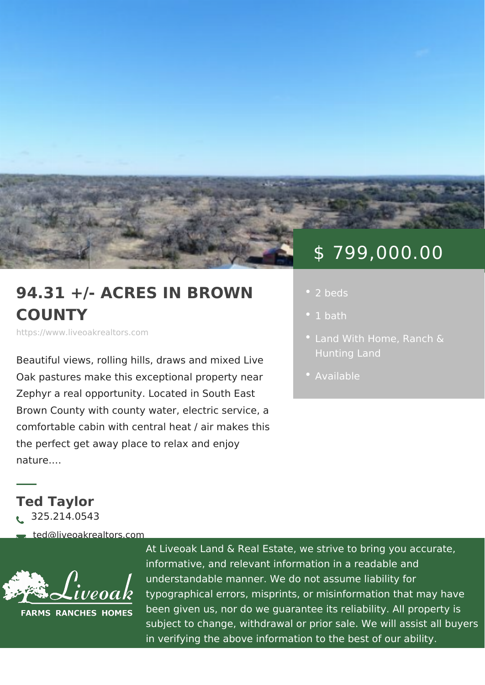## \$ 799,000.00

## 94.31 +/- ACRES IN BROY . 2 beds COUNTY

https://www.liveoakrealtors.com

Beautiful views, rolling hills, draws and Oak pastures make this exceptional pro Zephyr a real opportunity. Located in S Brown County with county water, electric service, a comfortable cabin with central heat / air makes this the perfect get away place to relax and enjoy nature. &

Ted Taylor  $\lambda$ <sup>2</sup> 325.214.0543

ðà ted@liveoakrealtors.com

At Liveoak Land & Real Estate, we strive to brin informative, and relevant information in a reada understandable manner. We do not assume liabil typographical errors, misprints, or misinformatic been given us, nor do we guarantee its reliabilit subject to change, withdrawal or prior sale. We in verifying the above information to the best of

- 
- [Land With H](https://www.liveoakrealtors.com/es_category/land-with-home/), GR maen ch &
- [Availa](https://www.liveoakrealtors.com/es_status/available/)ble